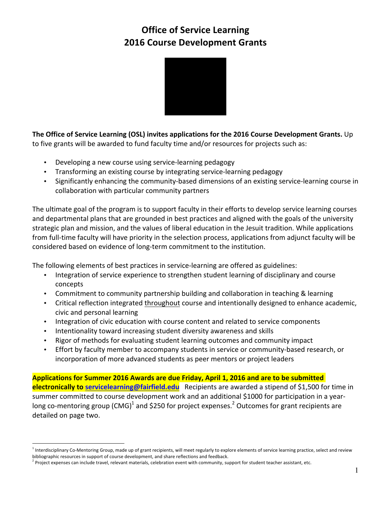# **Office of Service Learning 2016 Course Development Grants**



**The Office of Service Learning (OSL) invites applications for the 2016 Course Development Grants.** Up to five grants will be awarded to fund faculty time and/or resources for projects such as:

- Developing a new course using service-learning pedagogy
- Transforming an existing course by integrating service-learning pedagogy
- Significantly enhancing the community-based dimensions of an existing service-learning course in collaboration with particular community partners

The ultimate goal of the program is to support faculty in their efforts to develop service learning courses and departmental plans that are grounded in best practices and aligned with the goals of the university strategic plan and mission, and the values of liberal education in the Jesuit tradition. While applications from full-time faculty will have priority in the selection process, applications from adjunct faculty will be considered based on evidence of long-term commitment to the institution.

The following elements of best practices in service-learning are offered as guidelines:

- Integration of service experience to strengthen student learning of disciplinary and course concepts
- Commitment to community partnership building and collaboration in teaching & learning
- Critical reflection integrated throughout course and intentionally designed to enhance academic, civic and personal learning
- Integration of civic education with course content and related to service components
- Intentionality toward increasing student diversity awareness and skills
- Rigor of methods for evaluating student learning outcomes and community impact
- Effort by faculty member to accompany students in service or community-based research, or incorporation of more advanced students as peer mentors or project leaders

Applications for Summer 2016 Awards are due Friday, April 1, 2016 and are to be submitted **electronically to servicelearning@fairfield.edu** Recipients are awarded a stipend of \$1,500 for time in summer committed to course development work and an additional \$1000 for participation in a yearlong co-mentoring group (CMG)<sup>1</sup> and \$250 for project expenses.<sup>2</sup> Outcomes for grant recipients are detailed on page two.

<sup>&</sup>lt;sup>1</sup> Interdisciplinary Co-Mentoring Group, made up of grant recipients, will meet regularly to explore elements of service learning practice, select and review bibliographic resources in support of course development, and share reflections and feedback.

 $^2$  Project expenses can include travel, relevant materials, celebration event with community, support for student teacher assistant, etc.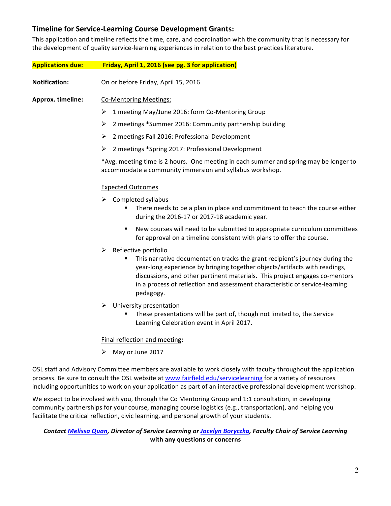# **Timeline for Service-Learning Course Development Grants:**

This application and timeline reflects the time, care, and coordination with the community that is necessary for the development of quality service-learning experiences in relation to the best practices literature.

| <b>Applications due:</b> | Friday, April 1, 2016 (see pg. 3 for application)                                                                                                                                                                                                                                                                                                                   |
|--------------------------|---------------------------------------------------------------------------------------------------------------------------------------------------------------------------------------------------------------------------------------------------------------------------------------------------------------------------------------------------------------------|
| <b>Notification:</b>     | On or before Friday, April 15, 2016                                                                                                                                                                                                                                                                                                                                 |
| Approx. timeline:        | <b>Co-Mentoring Meetings:</b>                                                                                                                                                                                                                                                                                                                                       |
|                          | 1 meeting May/June 2016: form Co-Mentoring Group<br>➤                                                                                                                                                                                                                                                                                                               |
|                          | 2 meetings *Summer 2016: Community partnership building<br>➤                                                                                                                                                                                                                                                                                                        |
|                          | 2 meetings Fall 2016: Professional Development<br>➤                                                                                                                                                                                                                                                                                                                 |
|                          | 2 meetings *Spring 2017: Professional Development<br>➤                                                                                                                                                                                                                                                                                                              |
|                          | *Avg. meeting time is 2 hours. One meeting in each summer and spring may be longer to<br>accommodate a community immersion and syllabus workshop.                                                                                                                                                                                                                   |
|                          | <b>Expected Outcomes</b>                                                                                                                                                                                                                                                                                                                                            |
|                          | ➤<br>Completed syllabus<br>There needs to be a plan in place and commitment to teach the course either<br>during the 2016-17 or 2017-18 academic year.                                                                                                                                                                                                              |
|                          | New courses will need to be submitted to appropriate curriculum committees<br>٠<br>for approval on a timeline consistent with plans to offer the course.                                                                                                                                                                                                            |
|                          | Reflective portfolio<br>➤<br>This narrative documentation tracks the grant recipient's journey during the<br>year-long experience by bringing together objects/artifacts with readings,<br>discussions, and other pertinent materials. This project engages co-mentors<br>in a process of reflection and assessment characteristic of service-learning<br>pedagogy. |
|                          | ➤<br>University presentation<br>These presentations will be part of, though not limited to, the Service<br>Learning Celebration event in April 2017.                                                                                                                                                                                                                |
|                          | Final reflection and meeting:                                                                                                                                                                                                                                                                                                                                       |
|                          | May or June 2017<br>➤                                                                                                                                                                                                                                                                                                                                               |
|                          | OSL staff and Advisory Committee members are available to work closely with faculty throughout the application<br>process. Be sure to consult the OSL website at www.fairfield.edu/servicelearning for a variety of resources                                                                                                                                       |

We expect to be involved with you, through the Co Mentoring Group and 1:1 consultation, in developing community partnerships for your course, managing course logistics (e.g., transportation), and helping you facilitate the critical reflection, civic learning, and personal growth of your students.

# **Contact Melissa Quan, Director of Service Learning or Jocelyn Boryczka, Faculty Chair of Service Learning** with any questions or concerns

including opportunities to work on your application as part of an interactive professional development workshop.